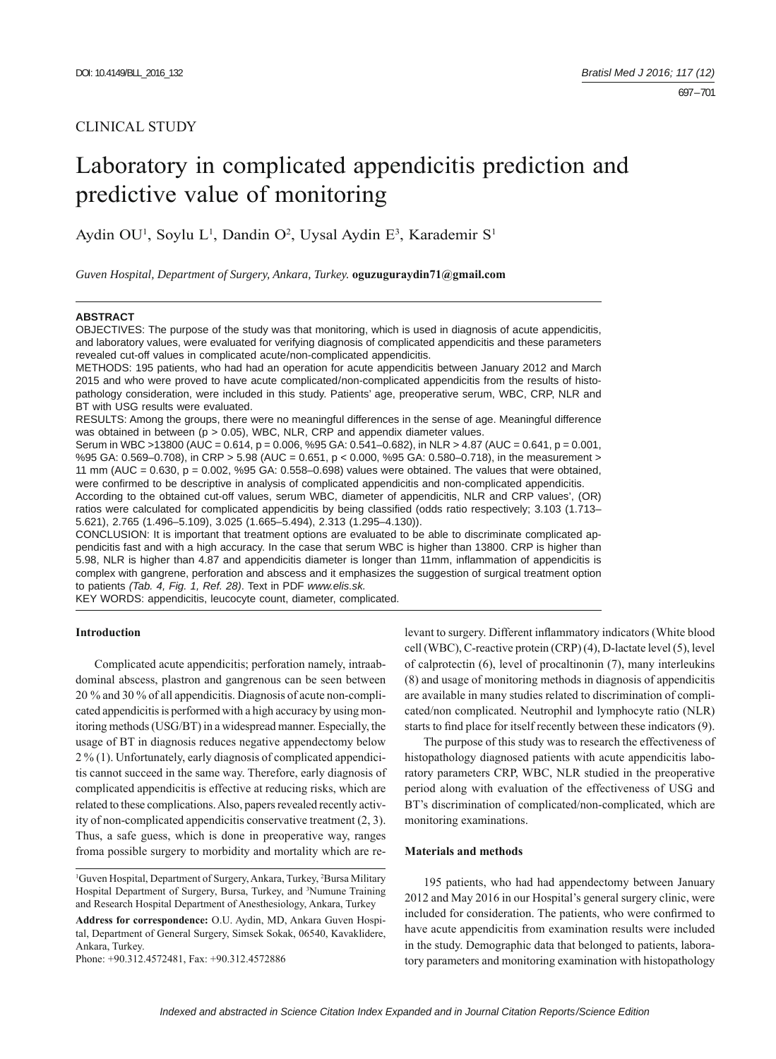## CLINICAL STUDY

# Laboratory in complicated appendicitis prediction and predictive value of monitoring

Aydin OU<sup>1</sup>, Soylu L<sup>1</sup>, Dandin O<sup>2</sup>, Uysal Aydin E<sup>3</sup>, Karademir S<sup>1</sup>

*Guven Hospital, Department of Surgery, Ankara, Turkey.* **oguzuguraydin71@gmail.com**

#### **ABSTRACT**

OBJECTIVES: The purpose of the study was that monitoring, which is used in diagnosis of acute appendicitis, and laboratory values, were evaluated for verifying diagnosis of complicated appendicitis and these parameters revealed cut-off values in complicated acute/non-complicated appendicitis.

METHODS: 195 patients, who had had an operation for acute appendicitis between January 2012 and March 2015 and who were proved to have acute complicated/non-complicated appendicitis from the results of histopathology consideration, were included in this study. Patients' age, preoperative serum, WBC, CRP, NLR and BT with USG results were evaluated.

RESULTS: Among the groups, there were no meaningful differences in the sense of age. Meaningful difference was obtained in between ( $p > 0.05$ ), WBC, NLR, CRP and appendix diameter values.

Serum in WBC >13800 (AUC = 0.614, p = 0.006, %95 GA: 0.541–0.682), in NLR > 4.87 (AUC = 0.641, p = 0.001, %95 GA: 0.569–0.708), in CRP > 5.98 (AUC = 0.651, p < 0.000, %95 GA: 0.580–0.718), in the measurement > 11 mm (AUC =  $0.630$ , p =  $0.002$ , %95 GA:  $0.558-0.698$ ) values were obtained. The values that were obtained, were confirmed to be descriptive in analysis of complicated appendicitis and non-complicated appendicitis.

According to the obtained cut-off values, serum WBC, diameter of appendicitis, NLR and CRP values', (OR) ratios were calculated for complicated appendicitis by being classified (odds ratio respectively; 3.103 (1.713– 5.621), 2.765 (1.496–5.109), 3.025 (1.665–5.494), 2.313 (1.295–4.130)).

CONCLUSION: It is important that treatment options are evaluated to be able to discriminate complicated appendicitis fast and with a high accuracy. In the case that serum WBC is higher than 13800. CRP is higher than 5.98, NLR is higher than 4.87 and appendicitis diameter is longer than 11mm, inflammation of appendicitis is complex with gangrene, perforation and abscess and it emphasizes the suggestion of surgical treatment option to patients *(Tab. 4, Fig. 1, Ref. 28)*. Text in PDF *www.elis.sk.*

KEY WORDS: appendicitis, leucocyte count, diameter, complicated.

## **Introduction**

Complicated acute appendicitis; perforation namely, intraabdominal abscess, plastron and gangrenous can be seen between 20 % and 30 % of all appendicitis. Diagnosis of acute non-complicated appendicitis is performed with a high accuracy by using monitoring methods (USG/BT) in a widespread manner. Especially, the usage of BT in diagnosis reduces negative appendectomy below 2 % (1). Unfortunately, early diagnosis of complicated appendicitis cannot succeed in the same way. Therefore, early diagnosis of complicated appendicitis is effective at reducing risks, which are related to these complications. Also, papers revealed recently activity of non-complicated appendicitis conservative treatment (2, 3). Thus, a safe guess, which is done in preoperative way, ranges froma possible surgery to morbidity and mortality which are re-

Phone: +90.312.4572481, Fax: +90.312.4572886

levant to surgery. Different inflammatory indicators (White blood cell (WBC), C-reactive protein (CRP) (4), D-lactate level (5), level of calprotectin (6), level of procaltinonin (7), many interleukins (8) and usage of monitoring methods in diagnosis of appendicitis are available in many studies related to discrimination of complicated/non complicated. Neutrophil and lymphocyte ratio (NLR) starts to find place for itself recently between these indicators (9).

The purpose of this study was to research the effectiveness of histopathology diagnosed patients with acute appendicitis laboratory parameters CRP, WBC, NLR studied in the preoperative period along with evaluation of the effectiveness of USG and BT's discrimination of complicated/non-complicated, which are monitoring examinations.

#### **Materials and methods**

195 patients, who had had appendectomy between January 2012 and May 2016 in our Hospital's general surgery clinic, were included for consideration. The patients, who were confirmed to have acute appendicitis from examination results were included in the study. Demographic data that belonged to patients, laboratory parameters and monitoring examination with histopathology

<sup>&</sup>lt;sup>1</sup>Guven Hospital, Department of Surgery, Ankara, Turkey, <sup>2</sup>Bursa Military Hospital Department of Surgery, Bursa, Turkey, and <sup>3</sup>Numune Training and Research Hospital Department of Anesthesiology, Ankara, Turkey

**Address for correspondence:** O.U. Aydin, MD, Ankara Guven Hospital, Department of General Surgery, Simsek Sokak, 06540, Kavaklidere, Ankara, Turkey.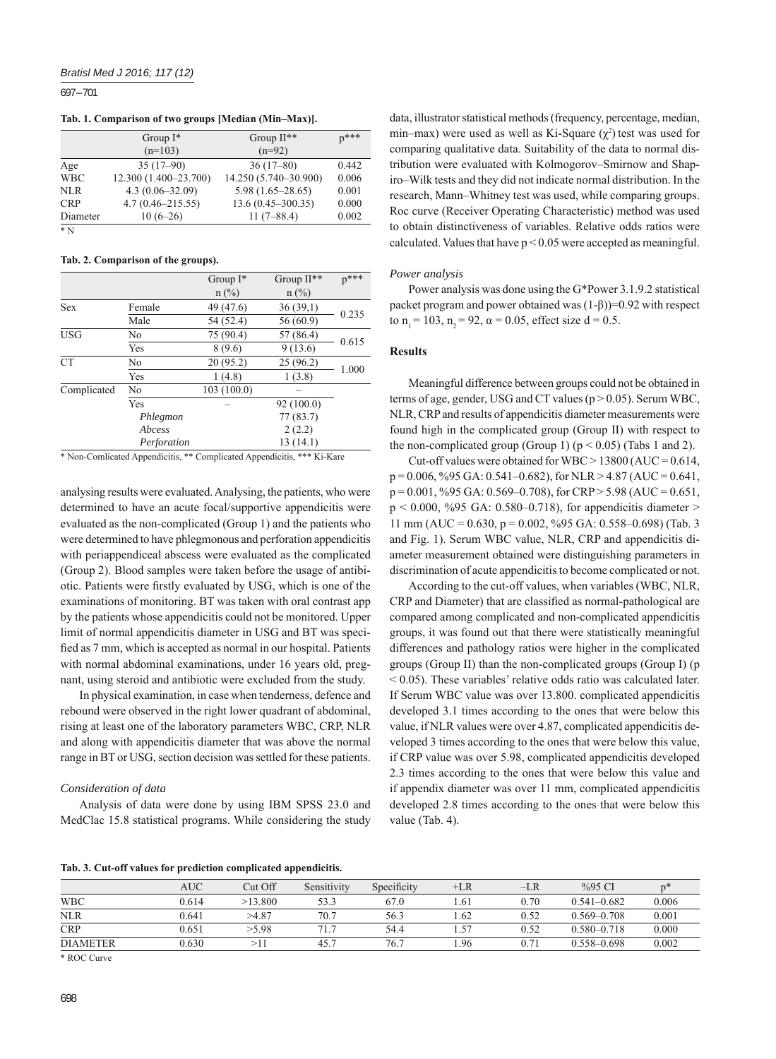697 – 701

**Tab. 1. Comparison of two groups [Median (Min–Max)].**

|            | Group $I^*$           | Group $II**$          | $n***$ |
|------------|-----------------------|-----------------------|--------|
|            | $(n=103)$             | $(n=92)$              |        |
| Age        | $35(17-90)$           | $36(17-80)$           | 0.442  |
| <b>WBC</b> | 12.300 (1.400-23.700) | 14.250 (5.740-30.900) | 0.006  |
| NLR        | $4.3(0.06 - 32.09)$   | $5.98(1.65 - 28.65)$  | 0.001  |
| <b>CRP</b> | $4.7(0.46 - 215.55)$  | $13.6(0.45 - 300.35)$ | 0.000  |
| Diameter   | $10(6-26)$            | $11(7 - 88.4)$        | 0.002  |
| $* N$      |                       |                       |        |

#### **Tab. 2. Comparison of the groups).**

|             |             | Group $I^*$ | Group II** | $p***$ |  |
|-------------|-------------|-------------|------------|--------|--|
|             |             | $n$ (%)     | $n$ (%)    |        |  |
| <b>Sex</b>  | Female      | 49 (47.6)   | 36(39,1)   | 0.235  |  |
|             | Male        | 54 (52.4)   | 56 (60.9)  |        |  |
| <b>USG</b>  | No          | 75 (90.4)   | 57 (86.4)  | 0.615  |  |
|             | Yes         | 8(9.6)      | 9(13.6)    |        |  |
| <b>CT</b>   | No          | 20(95.2)    | 25(96.2)   | 1.000  |  |
|             | Yes         | 1(4.8)      | 1(3.8)     |        |  |
| Complicated | No          | 103(100.0)  |            |        |  |
|             | Yes         |             | 92 (100.0) |        |  |
|             | Phlegmon    |             | 77(83.7)   |        |  |
|             | Abcess      |             | 2(2.2)     |        |  |
|             | Perforation |             | 13 (14.1)  |        |  |

\* Non-Comlicated Appendicitis, \*\* Complicated Appendicitis, \*\*\* Ki-Kare

analysing results were evaluated. Analysing, the patients, who were determined to have an acute focal/supportive appendicitis were evaluated as the non-complicated (Group 1) and the patients who were determined to have phlegmonous and perforation appendicitis with periappendiceal abscess were evaluated as the complicated (Group 2). Blood samples were taken before the usage of antibiotic. Patients were firstly evaluated by USG, which is one of the examinations of monitoring. BT was taken with oral contrast app by the patients whose appendicitis could not be monitored. Upper limit of normal appendicitis diameter in USG and BT was specified as 7 mm, which is accepted as normal in our hospital. Patients with normal abdominal examinations, under 16 years old, pregnant, using steroid and antibiotic were excluded from the study.

In physical examination, in case when tenderness, defence and rebound were observed in the right lower quadrant of abdominal, rising at least one of the laboratory parameters WBC, CRP, NLR and along with appendicitis diameter that was above the normal range in BT or USG, section decision was settled for these patients.

#### *Consideration of data*

Analysis of data were done by using IBM SPSS 23.0 and MedClac 15.8 statistical programs. While considering the study

data, illustrator statistical methods (frequency, percentage, median, min–max) were used as well as Ki-Square  $(\chi^2)$  test was used for comparing qualitative data. Suitability of the data to normal distribution were evaluated with Kolmogorov–Smirnow and Shapiro–Wilk tests and they did not indicate normal distribution. In the research, Mann–Whitney test was used, while comparing groups. Roc curve (Receiver Operating Characteristic) method was used to obtain distinctiveness of variables. Relative odds ratios were calculated. Values that have  $p < 0.05$  were accepted as meaningful.

#### *Power analysis*

Power analysis was done using the G\*Power 3.1.9.2 statistical packet program and power obtained was  $(1-\beta)$ )=0.92 with respect to n<sub>1</sub> = 103, n<sub>2</sub> = 92,  $\alpha$  = 0.05, effect size d = 0.5.

#### **Results**

Meaningful difference between groups could not be obtained in terms of age, gender, USG and CT values ( $p > 0.05$ ). Serum WBC, NLR, CRP and results of appendicitis diameter measurements were found high in the complicated group (Group II) with respect to the non-complicated group (Group 1)  $(p < 0.05)$  (Tabs 1 and 2).

Cut-off values were obtained for WBC  $> 13800$  (AUC = 0.614,  $p = 0.006$ , %95 GA: 0.541–0.682), for NLR > 4.87 (AUC = 0.641,  $p = 0.001$ , %95 GA: 0.569–0.708), for CRP > 5.98 (AUC = 0.651,  $p < 0.000$ , %95 GA: 0.580–0.718), for appendicitis diameter > 11 mm (AUC = 0.630, p = 0.002, %95 GA: 0.558–0.698) (Tab. 3 and Fig. 1). Serum WBC value, NLR, CRP and appendicitis diameter measurement obtained were distinguishing parameters in discrimination of acute appendicitis to become complicated or not.

According to the cut-off values, when variables (WBC, NLR, CRP and Diameter) that are classified as normal-pathological are compared among complicated and non-complicated appendicitis groups, it was found out that there were statistically meaningful differences and pathology ratios were higher in the complicated groups (Group II) than the non-complicated groups (Group I) (p < 0.05). These variables' relative odds ratio was calculated later. If Serum WBC value was over 13.800. complicated appendicitis developed 3.1 times according to the ones that were below this value, if NLR values were over 4.87, complicated appendicitis developed 3 times according to the ones that were below this value, if CRP value was over 5.98, complicated appendicitis developed 2.3 times according to the ones that were below this value and if appendix diameter was over 11 mm, complicated appendicitis developed 2.8 times according to the ones that were below this value (Tab. 4).

**Tab. 3. Cut-off values for prediction complicated appendicitis.**

|                 | <b>AUC</b> | Cut Off | Sensitivity | Specificity | $+LR$ | –LR  | $%95$ CI        | n <sup>3</sup> |
|-----------------|------------|---------|-------------|-------------|-------|------|-----------------|----------------|
| <b>WBC</b>      | 0.614      | >13.800 | 53.3        | 67.0        | .61   | 0.70 | $0.541 - 0.682$ | 0.006          |
| <b>NLR</b>      | 0.641      | >4.87   | 70.7        | 56.3        | .62   | 0.52 | $0.569 - 0.708$ | 0.001          |
| <b>CRP</b>      | 0.651      | > 5.98  | 71.7        | 54.4        |       | 0.52 | $0.580 - 0.718$ | 0.000          |
| <b>DIAMETER</b> | 0.630      |         | 45.         | 76.7        | .96   | 0.71 | $0.558 - 0.698$ | 0.002          |

\* ROC Curve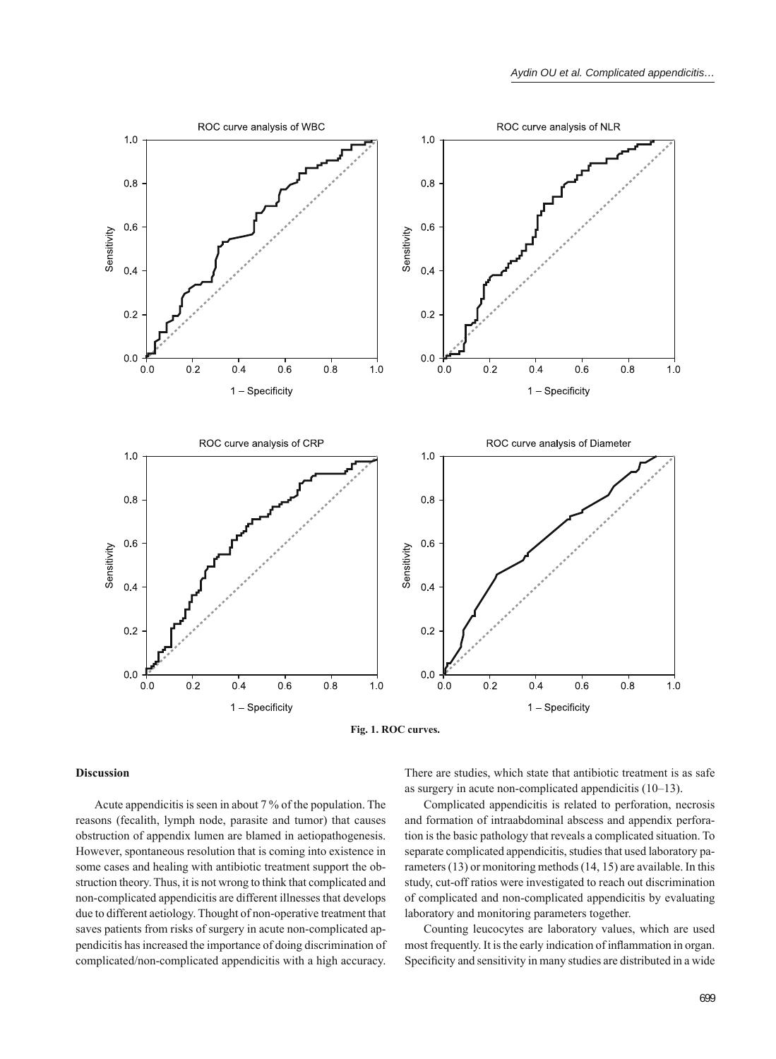



## **Discussion**

Acute appendicitis is seen in about 7 % of the population. The reasons (fecalith, lymph node, parasite and tumor) that causes obstruction of appendix lumen are blamed in aetiopathogenesis. However, spontaneous resolution that is coming into existence in some cases and healing with antibiotic treatment support the obstruction theory. Thus, it is not wrong to think that complicated and non-complicated appendicitis are different illnesses that develops due to different aetiology. Thought of non-operative treatment that saves patients from risks of surgery in acute non-complicated appendicitis has increased the importance of doing discrimination of complicated/non-complicated appendicitis with a high accuracy.

There are studies, which state that antibiotic treatment is as safe as surgery in acute non-complicated appendicitis (10–13).

Complicated appendicitis is related to perforation, necrosis and formation of intraabdominal abscess and appendix perforation is the basic pathology that reveals a complicated situation. To separate complicated appendicitis, studies that used laboratory parameters (13) or monitoring methods (14, 15) are available. In this study, cut-off ratios were investigated to reach out discrimination of complicated and non-complicated appendicitis by evaluating laboratory and monitoring parameters together.

Counting leucocytes are laboratory values, which are used most frequently. It is the early indication of inflammation in organ. Specificity and sensitivity in many studies are distributed in a wide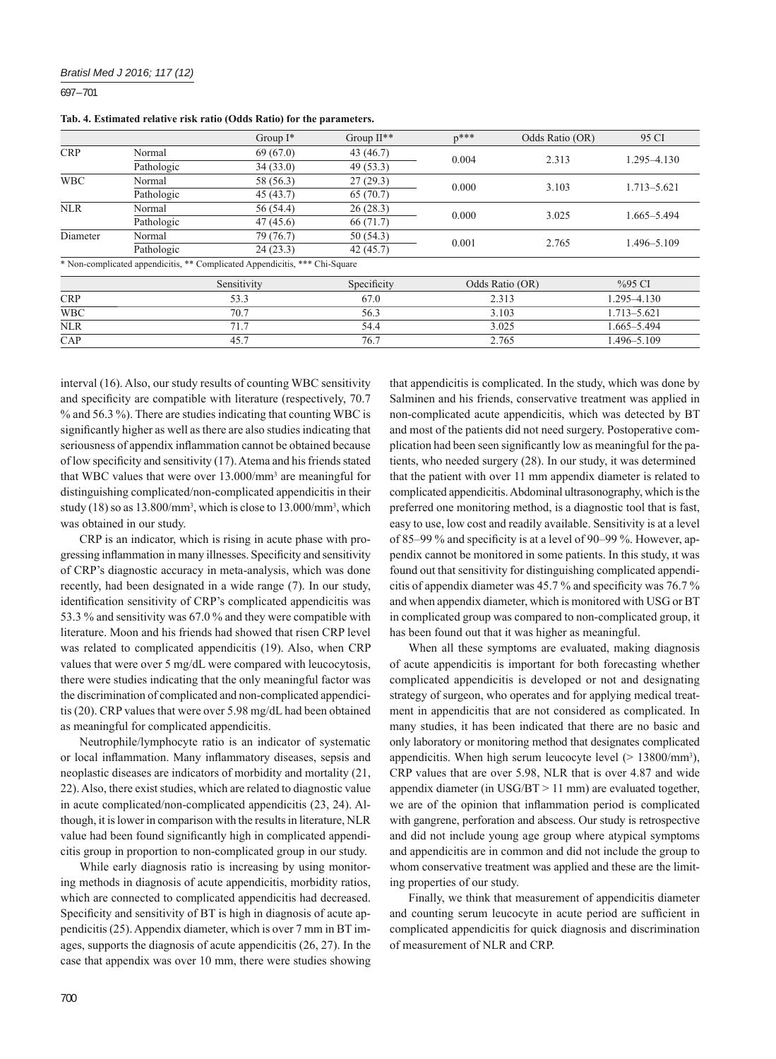## *Bratisl Med J 2016; 117 (12)*

697 – 701

**Tab. 4. Estimated relative risk ratio (Odds Ratio) for the parameters.**

|            |            | Group $I^*$                                                                 | Group $II**$ | $p***$          | Odds Ratio (OR) | 95 CI       |
|------------|------------|-----------------------------------------------------------------------------|--------------|-----------------|-----------------|-------------|
| <b>CRP</b> | Normal     | 69(67.0)                                                                    | 43 $(46.7)$  | 0.004           | 2.313           | 1.295-4.130 |
|            | Pathologic | 34(33.0)                                                                    | 49(53.3)     |                 |                 |             |
| <b>WBC</b> | Normal     | 58 (56.3)                                                                   | 27(29.3)     | 0.000           | 3.103           | 1.713-5.621 |
|            | Pathologic | 45(43.7)                                                                    | 65 (70.7)    |                 |                 |             |
| <b>NLR</b> | Normal     | 56 (54.4)                                                                   | 26(28.3)     | 0.000           | 3.025           | 1.665-5.494 |
|            | Pathologic | 47(45.6)                                                                    | 66(71.7)     |                 |                 |             |
| Diameter   | Normal     | 79 (76.7)                                                                   | 50(54.3)     | 0.001           | 2.765           | 1.496-5.109 |
|            | Pathologic | 24(23.3)                                                                    | 42(45.7)     |                 |                 |             |
|            |            | * Non-complicated appendicitis, ** Complicated Appendicitis, *** Chi-Square |              |                 |                 |             |
|            |            | Sensitivity                                                                 | Specificity  | Odds Ratio (OR) |                 | %95 CI      |
| <b>CRP</b> | 53.3       |                                                                             | 67.0         | 2.313           |                 | 1.295-4.130 |
| <b>WBC</b> | 70.7       |                                                                             | 56.3         | 3.103           |                 | 1.713-5.621 |
| <b>NLR</b> | 71.7       |                                                                             | 54.4         | 3.025           |                 | 1.665-5.494 |
| CAP        |            | 45.7                                                                        | 76.7         | 2.765           |                 | 1.496–5.109 |

interval (16). Also, our study results of counting WBC sensitivity and specificity are compatible with literature (respectively, 70.7) % and 56.3 %). There are studies indicating that counting WBC is significantly higher as well as there are also studies indicating that seriousness of appendix inflammation cannot be obtained because of low specificity and sensitivity  $(17)$ . Atema and his friends stated that WBC values that were over 13.000/mm3 are meaningful for distinguishing complicated/non-complicated appendicitis in their study (18) so as  $13.800/\text{mm}^3$ , which is close to  $13.000/\text{mm}^3$ , which was obtained in our study.

CRP is an indicator, which is rising in acute phase with progressing inflammation in many illnesses. Specificity and sensitivity of CRP's diagnostic accuracy in meta-analysis, which was done recently, had been designated in a wide range (7). In our study, identification sensitivity of CRP's complicated appendicitis was 53.3 % and sensitivity was 67.0 % and they were compatible with literature. Moon and his friends had showed that risen CRP level was related to complicated appendicitis (19). Also, when CRP values that were over 5 mg/dL were compared with leucocytosis, there were studies indicating that the only meaningful factor was the discrimination of complicated and non-complicated appendicitis (20). CRP values that were over 5.98 mg/dL had been obtained as meaningful for complicated appendicitis.

Neutrophile/lymphocyte ratio is an indicator of systematic or local inflammation. Many inflammatory diseases, sepsis and neoplastic diseases are indicators of morbidity and mortality (21, 22). Also, there exist studies, which are related to diagnostic value in acute complicated/non-complicated appendicitis (23, 24). Although, it is lower in comparison with the results in literature, NLR value had been found significantly high in complicated appendicitis group in proportion to non-complicated group in our study.

While early diagnosis ratio is increasing by using monitoring methods in diagnosis of acute appendicitis, morbidity ratios, which are connected to complicated appendicitis had decreased. Specificity and sensitivity of BT is high in diagnosis of acute appendicitis (25). Appendix diameter, which is over 7 mm in BT images, supports the diagnosis of acute appendicitis (26, 27). In the case that appendix was over 10 mm, there were studies showing

that appendicitis is complicated. In the study, which was done by Salminen and his friends, conservative treatment was applied in non-complicated acute appendicitis, which was detected by BT and most of the patients did not need surgery. Postoperative complication had been seen significantly low as meaningful for the patients, who needed surgery (28). In our study, it was determined that the patient with over 11 mm appendix diameter is related to complicated appendicitis. Abdominal ultrasonography, which is the preferred one monitoring method, is a diagnostic tool that is fast, easy to use, low cost and readily available. Sensitivity is at a level of 85–99 % and specificity is at a level of 90–99 %. However, appendix cannot be monitored in some patients. In this study, ıt was found out that sensitivity for distinguishing complicated appendicitis of appendix diameter was 45.7  $\%$  and specificity was 76.7  $\%$ and when appendix diameter, which is monitored with USG or BT in complicated group was compared to non-complicated group, it has been found out that it was higher as meaningful.

When all these symptoms are evaluated, making diagnosis of acute appendicitis is important for both forecasting whether complicated appendicitis is developed or not and designating strategy of surgeon, who operates and for applying medical treatment in appendicitis that are not considered as complicated. In many studies, it has been indicated that there are no basic and only laboratory or monitoring method that designates complicated appendicitis. When high serum leucocyte level  $(> 13800/\text{mm}^3)$ , CRP values that are over 5.98, NLR that is over 4.87 and wide appendix diameter (in USG/BT > 11 mm) are evaluated together, we are of the opinion that inflammation period is complicated with gangrene, perforation and abscess. Our study is retrospective and did not include young age group where atypical symptoms and appendicitis are in common and did not include the group to whom conservative treatment was applied and these are the limiting properties of our study.

Finally, we think that measurement of appendicitis diameter and counting serum leucocyte in acute period are sufficient in complicated appendicitis for quick diagnosis and discrimination of measurement of NLR and CRP.